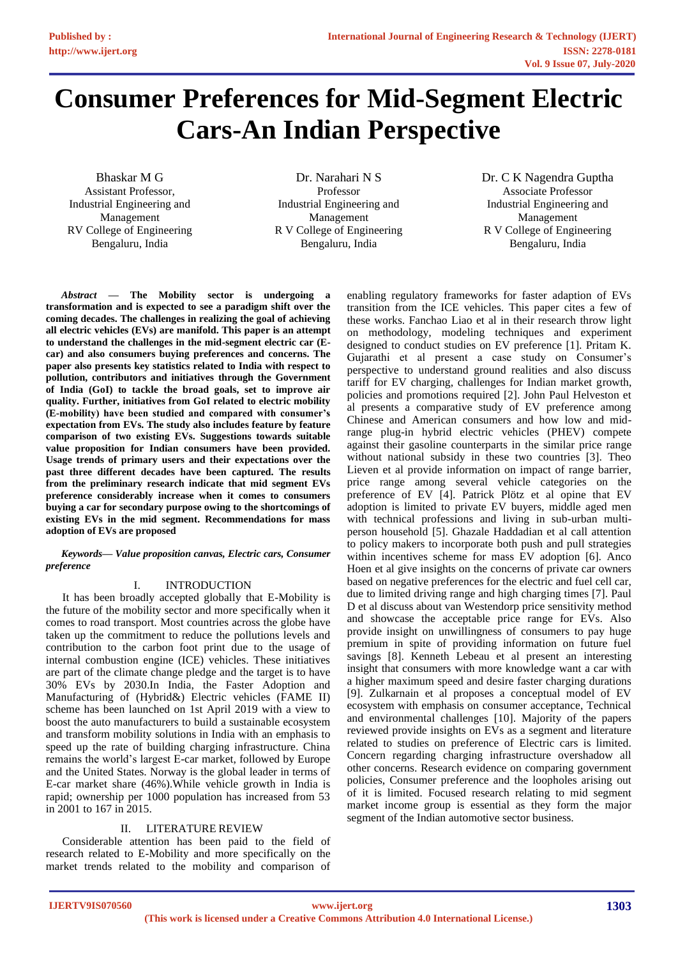# **Consumer Preferences for Mid-Segment Electric Cars-An Indian Perspective**

Bhaskar M G Assistant Professor, Industrial Engineering and Management RV College of Engineering Bengaluru, India

Dr. Narahari N S Professor Industrial Engineering and Management R V College of Engineering Bengaluru, India

Dr. C K Nagendra Guptha Associate Professor Industrial Engineering and Management R V College of Engineering Bengaluru, India

*Abstract* **— The Mobility sector is undergoing a transformation and is expected to see a paradigm shift over the coming decades. The challenges in realizing the goal of achieving all electric vehicles (EVs) are manifold. This paper is an attempt to understand the challenges in the mid-segment electric car (Ecar) and also consumers buying preferences and concerns. The paper also presents key statistics related to India with respect to pollution, contributors and initiatives through the Government of India (GoI) to tackle the broad goals, set to improve air quality. Further, initiatives from GoI related to electric mobility (E-mobility) have been studied and compared with consumer's expectation from EVs. The study also includes feature by feature comparison of two existing EVs. Suggestions towards suitable value proposition for Indian consumers have been provided. Usage trends of primary users and their expectations over the past three different decades have been captured. The results from the preliminary research indicate that mid segment EVs preference considerably increase when it comes to consumers buying a car for secondary purpose owing to the shortcomings of existing EVs in the mid segment. Recommendations for mass adoption of EVs are proposed**

*Keywords— Value proposition canvas, Electric cars, Consumer preference*

### I. INTRODUCTION

It has been broadly accepted globally that E-Mobility is the future of the mobility sector and more specifically when it comes to road transport. Most countries across the globe have taken up the commitment to reduce the pollutions levels and contribution to the carbon foot print due to the usage of internal combustion engine (ICE) vehicles. These initiatives are part of the climate change pledge and the target is to have 30% EVs by 2030.In India, the Faster Adoption and Manufacturing of (Hybrid&) Electric vehicles (FAME II) scheme has been launched on 1st April 2019 with a view to boost the auto manufacturers to build a sustainable ecosystem and transform mobility solutions in India with an emphasis to speed up the rate of building charging infrastructure. China remains the world's largest E-car market, followed by Europe and the United States. Norway is the global leader in terms of E-car market share (46%).While vehicle growth in India is rapid; ownership per 1000 population has increased from 53 in 2001 to 167 in 2015.

### II. LITERATURE REVIEW

Considerable attention has been paid to the field of research related to E-Mobility and more specifically on the market trends related to the mobility and comparison of

enabling regulatory frameworks for faster adaption of EVs transition from the ICE vehicles. This paper cites a few of these works. Fanchao Liao et al in their research throw light on methodology, modeling techniques and experiment designed to conduct studies on EV preference [1]. Pritam K. Gujarathi et al present a case study on Consumer's perspective to understand ground realities and also discuss tariff for EV charging, challenges for Indian market growth, policies and promotions required [2]. John Paul Helveston et al presents a comparative study of EV preference among Chinese and American consumers and how low and midrange plug-in hybrid electric vehicles (PHEV) compete against their gasoline counterparts in the similar price range without national subsidy in these two countries [3]. Theo Lieven et al provide information on impact of range barrier, price range among several vehicle categories on the preference of EV [4]. Patrick Plötz et al opine that EV adoption is limited to private EV buyers, middle aged men with technical professions and living in sub-urban multiperson household [5]. Ghazale Haddadian et al call attention to policy makers to incorporate both push and pull strategies within incentives scheme for mass EV adoption [6]. Anco Hoen et al give insights on the concerns of private car owners based on negative preferences for the electric and fuel cell car, due to limited driving range and high charging times [7]. Paul D et al discuss about van Westendorp price sensitivity method and showcase the acceptable price range for EVs. Also provide insight on unwillingness of consumers to pay huge premium in spite of providing information on future fuel savings [8]. Kenneth Lebeau et al present an interesting insight that consumers with more knowledge want a car with a higher maximum speed and desire faster charging durations [9]. Zulkarnain et al proposes a conceptual model of EV ecosystem with emphasis on consumer acceptance, Technical and environmental challenges [10]. Majority of the papers reviewed provide insights on EVs as a segment and literature related to studies on preference of Electric cars is limited. Concern regarding charging infrastructure overshadow all other concerns. Research evidence on comparing government policies, Consumer preference and the loopholes arising out of it is limited. Focused research relating to mid segment market income group is essential as they form the major segment of the Indian automotive sector business.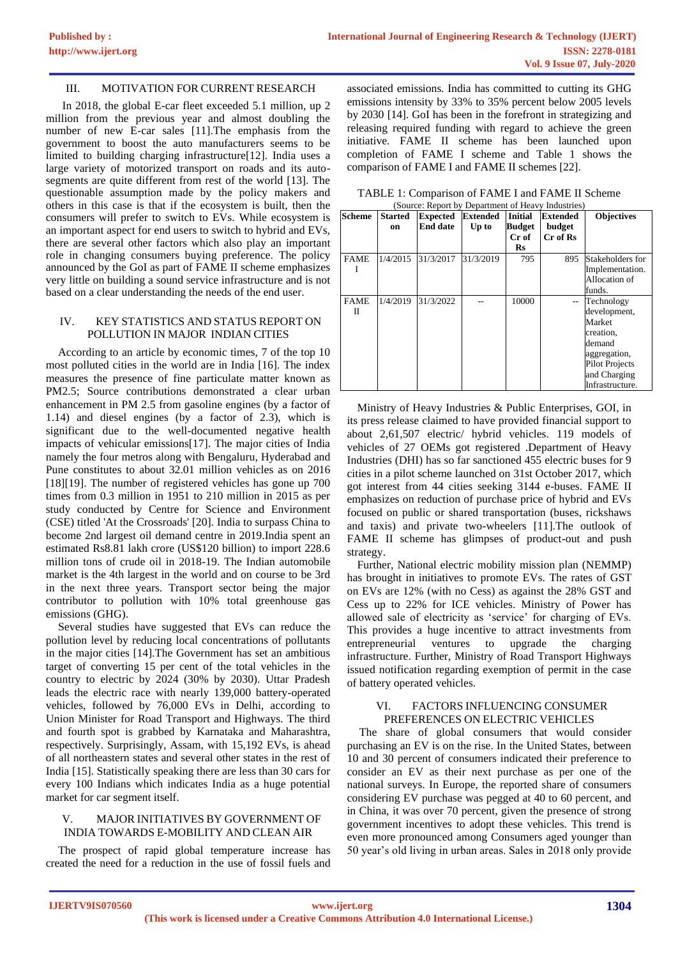#### III. MOTIVATION FOR CURRENT RESEARCH

In 2018, the global E-car fleet exceeded 5.1 million, up 2 million from the previous year and almost doubling the number of new E-car sales [11].The emphasis from the government to boost the auto manufacturers seems to be limited to building charging infrastructure[12]. India uses a large variety of motorized transport on roads and its autosegments are quite different from rest of the world [13]. The questionable assumption made by the policy makers and others in this case is that if the ecosystem is built, then the consumers will prefer to switch to EVs. While ecosystem is an important aspect for end users to switch to hybrid and EVs, there are several other factors which also play an important role in changing consumers buying preference. The policy announced by the GoI as part of FAME II scheme emphasizes very little on building a sound service infrastructure and is not based on a clear understanding the needs of the end user.

#### IV. KEY STATISTICS AND STATUS REPORT ON POLLUTION IN MAJOR INDIAN CITIES

According to an article by economic times, 7 of the top 10 most polluted cities in the world are in India [16]. The index measures the presence of fine particulate matter known as PM2.5; Source contributions demonstrated a clear urban enhancement in PM 2.5 from gasoline engines (by a factor of 1.14) and diesel engines (by a factor of 2.3), which is significant due to the well-documented negative health impacts of vehicular emissions[17]. The major cities of India namely the four metros along with Bengaluru, Hyderabad and Pune constitutes to about 32.01 million vehicles as on 2016 [18][19]. The number of registered vehicles has gone up 700 times from 0.3 million in 1951 to 210 million in 2015 as per study conducted by Centre for Science and Environment (CSE) titled 'At the Crossroads' [20]. India to surpass China to become 2nd largest oil demand centre in 2019.India spent an estimated Rs8.81 lakh crore (US\$120 billion) to import 228.6 million tons of crude oil in 2018-19. The Indian automobile market is the 4th largest in the world and on course to be 3rd in the next three years. Transport sector being the major contributor to pollution with 10% total greenhouse gas emissions (GHG).

Several studies have suggested that EVs can reduce the pollution level by reducing local concentrations of pollutants in the major cities [14].The Government has set an ambitious target of converting 15 per cent of the total vehicles in the country to electric by 2024 (30% by 2030). Uttar Pradesh leads the electric race with nearly 139,000 battery-operated vehicles, followed by 76,000 EVs in Delhi, according to Union Minister for Road Transport and Highways. The third and fourth spot is grabbed by Karnataka and Maharashtra, respectively. Surprisingly, Assam, with 15,192 EVs, is ahead of all northeastern states and several other states in the rest of India [15]. Statistically speaking there are less than 30 cars for every 100 Indians which indicates India as a huge potential market for car segment itself.

#### V. MAJOR INITIATIVES BY GOVERNMENT OF INDIA TOWARDS E-MOBILITY AND CLEAN AIR

The prospect of rapid global temperature increase has created the need for a reduction in the use of fossil fuels and associated emissions. India has committed to cutting its GHG emissions intensity by 33% to 35% percent below 2005 levels by 2030 [14]. GoI has been in the forefront in strategizing and releasing required funding with regard to achieve the green initiative. FAME II scheme has been launched upon completion of FAME I scheme and Table 1 shows the comparison of FAME I and FAME II schemes [22].

| TABLE 1: Comparison of FAME I and FAME II Scheme   |  |
|----------------------------------------------------|--|
| (Source: Report by Department of Heavy Industries) |  |

| <b>Scheme</b> | <b>Started</b> | <b>Expected</b> | Extended  | <b>Initial</b> | <b>Extended</b> | <b>Objectives</b>     |
|---------------|----------------|-----------------|-----------|----------------|-----------------|-----------------------|
|               | on             | <b>End date</b> | Up to     | <b>Budget</b>  | budget          |                       |
|               |                |                 |           | Cr of          | Cr of Rs        |                       |
|               |                |                 |           | $\mathbf{R}s$  |                 |                       |
| <b>FAME</b>   | 1/4/2015       | 31/3/2017       | 31/3/2019 | 795            | 895             | Stakeholders for      |
|               |                |                 |           |                |                 | Implementation.       |
|               |                |                 |           |                |                 | Allocation of         |
|               |                |                 |           |                |                 | funds.                |
| <b>FAME</b>   | 1/4/2019       | 31/3/2022       |           | 10000          | $-$             | Technology            |
| П             |                |                 |           |                |                 | development,          |
|               |                |                 |           |                |                 | Market                |
|               |                |                 |           |                |                 | creation,             |
|               |                |                 |           |                |                 | demand                |
|               |                |                 |           |                |                 | aggregation,          |
|               |                |                 |           |                |                 | <b>Pilot Projects</b> |
|               |                |                 |           |                |                 | and Charging          |
|               |                |                 |           |                |                 | Infrastructure.       |

Ministry of Heavy Industries & Public Enterprises, GOI, in its press release claimed to have provided financial support to about 2,61,507 electric/ hybrid vehicles. 119 models of vehicles of 27 OEMs got registered .Department of Heavy Industries (DHI) has so far sanctioned 455 electric buses for 9 cities in a pilot scheme launched on 31st October 2017, which got interest from 44 cities seeking 3144 e-buses. FAME II emphasizes on reduction of purchase price of hybrid and EVs focused on public or shared transportation (buses, rickshaws and taxis) and private two-wheelers [11].The outlook of FAME II scheme has glimpses of product-out and push strategy.

Further, National electric mobility mission plan (NEMMP) has brought in initiatives to promote EVs. The rates of GST on EVs are 12% (with no Cess) as against the 28% GST and Cess up to 22% for ICE vehicles. Ministry of Power has allowed sale of electricity as 'service' for charging of EVs. This provides a huge incentive to attract investments from entrepreneurial ventures to upgrade the charging infrastructure. Further, Ministry of Road Transport Highways issued notification regarding exemption of permit in the case of battery operated vehicles.

### VI. FACTORS INFLUENCING CONSUMER PREFERENCES ON ELECTRIC VEHICLES

The share of global consumers that would consider purchasing an EV is on the rise. In the United States, between 10 and 30 percent of consumers indicated their preference to consider an EV as their next purchase as per one of the national surveys. In Europe, the reported share of consumers considering EV purchase was pegged at 40 to 60 percent, and in China, it was over 70 percent, given the presence of strong government incentives to adopt these vehicles. This trend is even more pronounced among Consumers aged younger than 50 year's old living in urban areas. Sales in 2018 only provide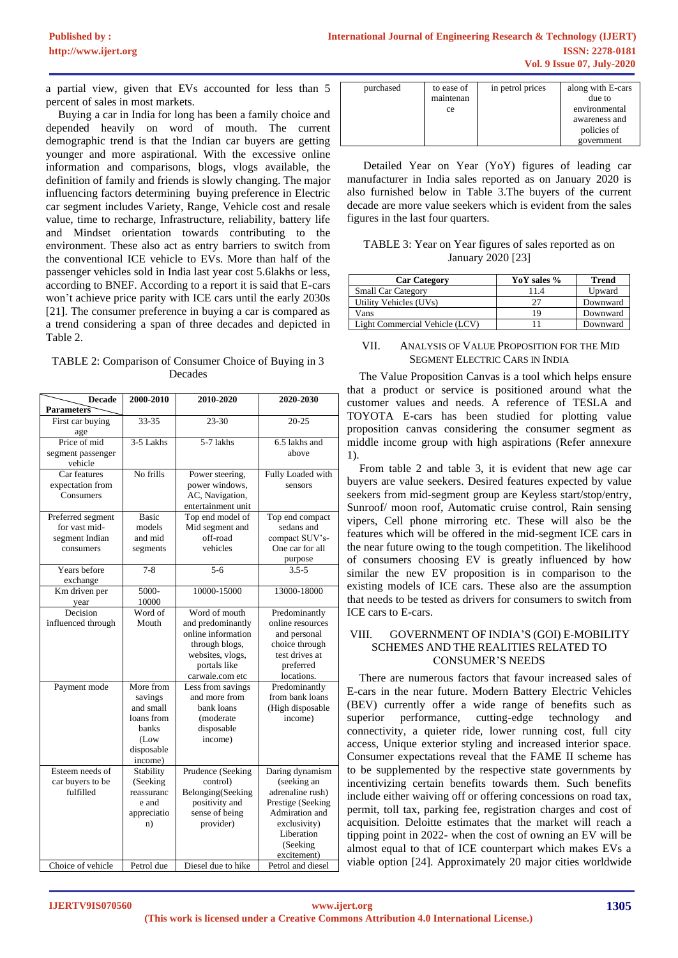a partial view, given that EVs accounted for less than 5 percent of sales in most markets.

Buying a car in India for long has been a family choice and depended heavily on word of mouth. The current demographic trend is that the Indian car buyers are getting younger and more aspirational. With the excessive online information and comparisons, blogs, vlogs available, the definition of family and friends is slowly changing. The major influencing factors determining buying preference in Electric car segment includes Variety, Range, Vehicle cost and resale value, time to recharge, Infrastructure, reliability, battery life and Mindset orientation towards contributing to the environment. These also act as entry barriers to switch from the conventional ICE vehicle to EVs. More than half of the passenger vehicles sold in India last year cost 5.6lakhs or less, according to BNEF. According to a report it is said that E-cars won't achieve price parity with ICE cars until the early 2030s [21]. The consumer preference in buying a car is compared as a trend considering a span of three decades and depicted in Table 2.

TABLE 2: Comparison of Consumer Choice of Buying in 3 Decades

| <b>Decade</b>                                                     | 2000-2010                                                                                  | 2010-2020                                                                                                                         | 2020-2030                                                                                                                                          |
|-------------------------------------------------------------------|--------------------------------------------------------------------------------------------|-----------------------------------------------------------------------------------------------------------------------------------|----------------------------------------------------------------------------------------------------------------------------------------------------|
| Parameters                                                        |                                                                                            |                                                                                                                                   |                                                                                                                                                    |
| First car buying<br>age                                           | 33-35                                                                                      | 23-30                                                                                                                             | $20 - 25$                                                                                                                                          |
| Price of mid<br>segment passenger<br>vehicle                      | 3-5 Lakhs                                                                                  | 5-7 lakhs                                                                                                                         | 6.5 lakhs and<br>above                                                                                                                             |
| Car features<br>expectation from<br>Consumers                     | No frills                                                                                  | Power steering,<br>power windows,<br>AC, Navigation,<br>entertainment unit                                                        | Fully Loaded with<br>sensors                                                                                                                       |
| Preferred segment<br>for vast mid-<br>segment Indian<br>consumers | <b>Basic</b><br>models<br>and mid<br>segments                                              | Top end model of<br>Mid segment and<br>off-road<br>vehicles                                                                       | Top end compact<br>sedans and<br>compact SUV's-<br>One car for all<br>purpose                                                                      |
| Years before<br>exchange                                          | $7 - 8$                                                                                    | $5 - 6$                                                                                                                           | $3.5 - 5$                                                                                                                                          |
| Km driven per<br>year                                             | 5000-<br>10000                                                                             | 10000-15000                                                                                                                       | 13000-18000                                                                                                                                        |
| Decision<br>influenced through                                    | Word of<br>Mouth                                                                           | Word of mouth<br>and predominantly<br>online information<br>through blogs,<br>websites, vlogs,<br>portals like<br>carwale.com etc | Predominantly<br>online resources<br>and personal<br>choice through<br>test drives at<br>preferred<br>locations.                                   |
| Payment mode                                                      | More from<br>savings<br>and small<br>loans from<br>banks<br>(Low)<br>disposable<br>income) | Less from savings<br>and more from<br>bank loans<br>(moderate<br>disposable<br>income)                                            | Predominantly<br>from bank loans<br>(High disposable<br>income)                                                                                    |
| Esteem needs of<br>car buyers to be<br>fulfilled                  | Stability<br>(Seeking)<br>reassuranc<br>e and<br>appreciatio<br>n)                         | Prudence (Seeking<br>control)<br>Belonging(Seeking<br>positivity and<br>sense of being<br>provider)                               | Daring dynamism<br>(seeking an<br>adrenaline rush)<br>Prestige (Seeking<br>Admiration and<br>exclusivity)<br>Liberation<br>(Seeking<br>excitement) |
| Choice of vehicle                                                 | Petrol due                                                                                 | Diesel due to hike                                                                                                                | Petrol and diesel                                                                                                                                  |

| purchased | to ease of<br>maintenan<br>ce | in petrol prices | along with E-cars<br>due to<br>environmental |
|-----------|-------------------------------|------------------|----------------------------------------------|
|           |                               |                  | awareness and<br>policies of<br>government   |

Detailed Year on Year (YoY) figures of leading car manufacturer in India sales reported as on January 2020 is also furnished below in Table 3.The buyers of the current decade are more value seekers which is evident from the sales figures in the last four quarters.

| TABLE 3: Year on Year figures of sales reported as on |  |
|-------------------------------------------------------|--|
| January 2020 [23]                                     |  |

| <b>Car Category</b>            | YoY sales % | <b>Trend</b> |
|--------------------------------|-------------|--------------|
| <b>Small Car Category</b>      | 11.4        | Upward       |
| Utility Vehicles (UVs)         | າາ          | Downward     |
| Vans                           | 19          | Downward     |
| Light Commercial Vehicle (LCV) |             | Downward     |

VII. ANALYSIS OF VALUE PROPOSITION FOR THE MID SEGMENT ELECTRIC CARS IN INDIA

The Value Proposition Canvas is a tool which helps ensure that a product or service is positioned around what the customer values and needs. A reference of TESLA and TOYOTA E-cars has been studied for plotting value proposition canvas considering the consumer segment as middle income group with high aspirations (Refer annexure 1).

From table 2 and table 3, it is evident that new age car buyers are value seekers. Desired features expected by value seekers from mid-segment group are Keyless start/stop/entry, Sunroof/ moon roof, Automatic cruise control, Rain sensing vipers, Cell phone mirroring etc. These will also be the features which will be offered in the mid-segment ICE cars in the near future owing to the tough competition. The likelihood of consumers choosing EV is greatly influenced by how similar the new EV proposition is in comparison to the existing models of ICE cars. These also are the assumption that needs to be tested as drivers for consumers to switch from ICE cars to E-cars.

### VIII. GOVERNMENT OF INDIA'S (GOI) E-MOBILITY SCHEMES AND THE REALITIES RELATED TO CONSUMER'S NEEDS

There are numerous factors that favour increased sales of E-cars in the near future. Modern Battery Electric Vehicles (BEV) currently offer a wide range of benefits such as superior performance, cutting-edge technology and connectivity, a quieter ride, lower running cost, full city access, Unique exterior styling and increased interior space. Consumer expectations reveal that the FAME II scheme has to be supplemented by the respective state governments by incentivizing certain benefits towards them. Such benefits include either waiving off or offering concessions on road tax, permit, toll tax, parking fee, registration charges and cost of acquisition. Deloitte estimates that the market will reach a tipping point in 2022- when the cost of owning an EV will be almost equal to that of ICE counterpart which makes EVs a viable option [24]. Approximately 20 major cities worldwide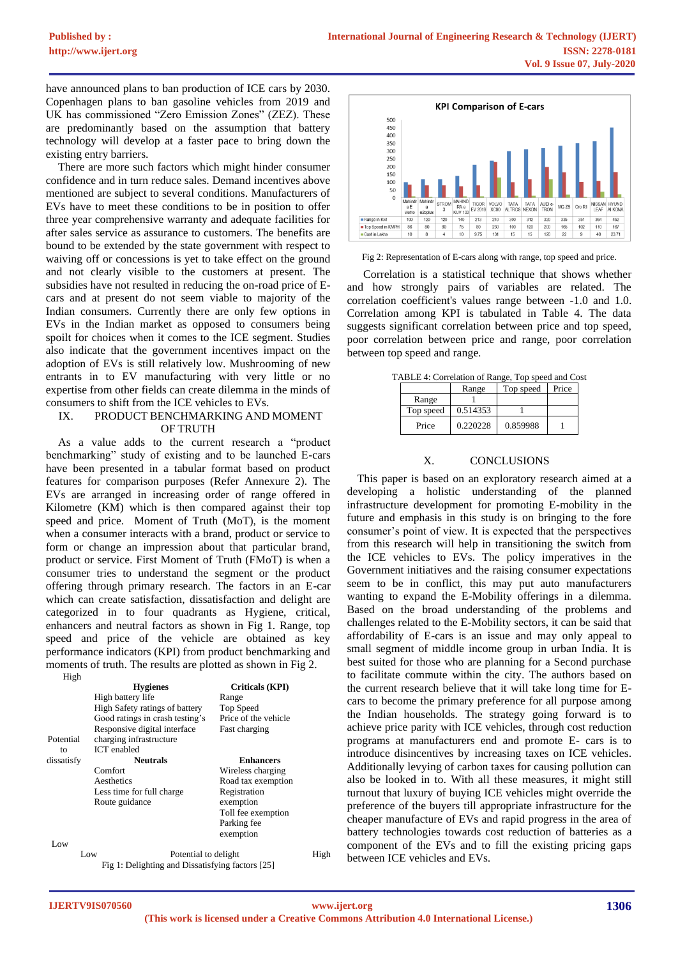have announced plans to ban production of ICE cars by 2030. Copenhagen plans to ban gasoline vehicles from 2019 and UK has commissioned "Zero Emission Zones" (ZEZ). These are predominantly based on the assumption that battery technology will develop at a faster pace to bring down the existing entry barriers.

There are more such factors which might hinder consumer confidence and in turn reduce sales. Demand incentives above mentioned are subject to several conditions. Manufacturers of EVs have to meet these conditions to be in position to offer three year comprehensive warranty and adequate facilities for after sales service as assurance to customers. The benefits are bound to be extended by the state government with respect to waiving off or concessions is yet to take effect on the ground and not clearly visible to the customers at present. The subsidies have not resulted in reducing the on-road price of Ecars and at present do not seem viable to majority of the Indian consumers. Currently there are only few options in EVs in the Indian market as opposed to consumers being spoilt for choices when it comes to the ICE segment. Studies also indicate that the government incentives impact on the adoption of EVs is still relatively low. Mushrooming of new entrants in to EV manufacturing with very little or no expertise from other fields can create dilemma in the minds of consumers to shift from the ICE vehicles to EVs.

#### IX. PRODUCT BENCHMARKING AND MOMENT OF TRUTH

As a value adds to the current research a "product benchmarking" study of existing and to be launched E-cars have been presented in a tabular format based on product features for comparison purposes (Refer Annexure 2). The EVs are arranged in increasing order of range offered in Kilometre (KM) which is then compared against their top speed and price. Moment of Truth (MoT), is the moment when a consumer interacts with a brand, product or service to form or change an impression about that particular brand, product or service. First Moment of Truth (FMoT) is when a consumer tries to understand the segment or the product offering through primary research. The factors in an E-car which can create satisfaction, dissatisfaction and delight are categorized in to four quadrants as Hygiene, critical, enhancers and neutral factors as shown in Fig 1. Range, top speed and price of the vehicle are obtained as key performance indicators (KPI) from product benchmarking and moments of truth. The results are plotted as shown in Fig 2. High

|            | <b>Hygienes</b>                                                 | Criticals (KPI)                   |      |
|------------|-----------------------------------------------------------------|-----------------------------------|------|
|            | High battery life                                               | Range                             |      |
|            | High Safety ratings of battery                                  | Top Speed<br>Price of the vehicle |      |
|            | Good ratings in crash testing's<br>Responsive digital interface |                                   |      |
|            |                                                                 | Fast charging                     |      |
| Potential  | charging infrastructure                                         |                                   |      |
| to         | <b>ICT</b> enabled                                              |                                   |      |
| dissatisfy | <b>Neutrals</b>                                                 | <b>Enhancers</b>                  |      |
|            | Comfort                                                         | Wireless charging                 |      |
|            | Aesthetics                                                      | Road tax exemption                |      |
|            | Less time for full charge                                       | Registration                      |      |
|            | Route guidance                                                  | exemption                         |      |
|            |                                                                 | Toll fee exemption                |      |
|            |                                                                 | Parking fee                       |      |
|            |                                                                 | exemption                         |      |
| Low        |                                                                 |                                   |      |
|            | Low<br>Potential to delight                                     |                                   | High |
|            | Fig 1: Delighting and Dissatisfying factors [25]                |                                   |      |



Fig 2: Representation of E-cars along with range, top speed and price.

Correlation is a statistical technique that shows whether and how strongly pairs of variables are related. The correlation coefficient's values range between -1.0 and 1.0. Correlation among KPI is tabulated in Table 4. The data suggests significant correlation between price and top speed, poor correlation between price and range, poor correlation between top speed and range.

| TABLE 4: Correlation of Range, Top speed and Cost |          |          |  |  |  |  |  |  |  |  |
|---------------------------------------------------|----------|----------|--|--|--|--|--|--|--|--|
| Top speed<br>Price<br>Range                       |          |          |  |  |  |  |  |  |  |  |
| Range                                             |          |          |  |  |  |  |  |  |  |  |
| Top speed                                         | 0.514353 |          |  |  |  |  |  |  |  |  |
| Price                                             | 0.220228 | 0.859988 |  |  |  |  |  |  |  |  |

## X. CONCLUSIONS

This paper is based on an exploratory research aimed at a developing a holistic understanding of the planned infrastructure development for promoting E-mobility in the future and emphasis in this study is on bringing to the fore consumer's point of view. It is expected that the perspectives from this research will help in transitioning the switch from the ICE vehicles to EVs. The policy imperatives in the Government initiatives and the raising consumer expectations seem to be in conflict, this may put auto manufacturers wanting to expand the E-Mobility offerings in a dilemma. Based on the broad understanding of the problems and challenges related to the E-Mobility sectors, it can be said that affordability of E-cars is an issue and may only appeal to small segment of middle income group in urban India. It is best suited for those who are planning for a Second purchase to facilitate commute within the city. The authors based on the current research believe that it will take long time for Ecars to become the primary preference for all purpose among the Indian households. The strategy going forward is to achieve price parity with ICE vehicles, through cost reduction programs at manufacturers end and promote E- cars is to introduce disincentives by increasing taxes on ICE vehicles. Additionally levying of carbon taxes for causing pollution can also be looked in to. With all these measures, it might still turnout that luxury of buying ICE vehicles might override the preference of the buyers till appropriate infrastructure for the cheaper manufacture of EVs and rapid progress in the area of battery technologies towards cost reduction of batteries as a component of the EVs and to fill the existing pricing gaps between ICE vehicles and EVs.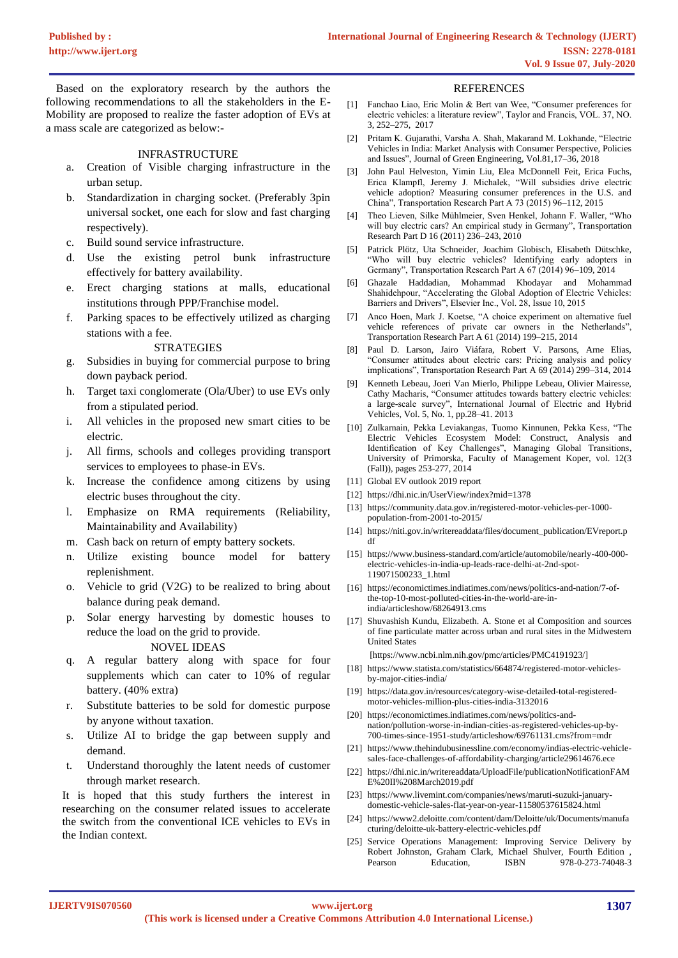Based on the exploratory research by the authors the following recommendations to all the stakeholders in the E-Mobility are proposed to realize the faster adoption of EVs at a mass scale are categorized as below:-

#### INFRASTRUCTURE

- a. Creation of Visible charging infrastructure in the urban setup.
- b. Standardization in charging socket. (Preferably 3pin universal socket, one each for slow and fast charging respectively).
- c. Build sound service infrastructure.
- d. Use the existing petrol bunk infrastructure effectively for battery availability.
- e. Erect charging stations at malls, educational institutions through PPP/Franchise model.
- f. Parking spaces to be effectively utilized as charging stations with a fee.

#### STRATEGIES

- g. Subsidies in buying for commercial purpose to bring down payback period.
- h. Target taxi conglomerate (Ola/Uber) to use EVs only from a stipulated period.
- i. All vehicles in the proposed new smart cities to be electric.
- j. All firms, schools and colleges providing transport services to employees to phase-in EVs.
- k. Increase the confidence among citizens by using electric buses throughout the city.
- l. Emphasize on RMA requirements (Reliability, Maintainability and Availability)
- m. Cash back on return of empty battery sockets.
- n. Utilize existing bounce model for battery replenishment.
- o. Vehicle to grid (V2G) to be realized to bring about balance during peak demand.
- p. Solar energy harvesting by domestic houses to reduce the load on the grid to provide.

# NOVEL IDEAS

- q. A regular battery along with space for four supplements which can cater to 10% of regular battery. (40% extra)
- r. Substitute batteries to be sold for domestic purpose by anyone without taxation.
- s. Utilize AI to bridge the gap between supply and demand.
- t. Understand thoroughly the latent needs of customer through market research.

It is hoped that this study furthers the interest in researching on the consumer related issues to accelerate the switch from the conventional ICE vehicles to EVs in the Indian context.

#### REFERENCES

- [1] Fanchao Liao, Eric Molin & Bert van Wee, "Consumer preferences for electric vehicles: a literature review", Taylor and Francis, VOL. 37, NO. 3, 252–275, 2017
- [2] Pritam K. Gujarathi, Varsha A. Shah, Makarand M. Lokhande, "Electric Vehicles in India: Market Analysis with Consumer Perspective, Policies and Issues", Journal of Green Engineering, Vol.81,17–36, 2018
- [3] John Paul Helveston, Yimin Liu, Elea McDonnell Feit, Erica Fuchs, Erica Klampfl, Jeremy J. Michalek, "Will subsidies drive electric vehicle adoption? Measuring consumer preferences in the U.S. and China", Transportation Research Part A 73 (2015) 96–112, 2015
- [4] Theo Lieven, Silke Mühlmeier, Sven Henkel, Johann F. Waller, "Who will buy electric cars? An empirical study in Germany", Transportation Research Part D 16 (2011) 236–243, 2010
- [5] Patrick Plötz, Uta Schneider, Joachim Globisch, Elisabeth Dütschke, "Who will buy electric vehicles? Identifying early adopters in Germany", Transportation Research Part A 67 (2014) 96–109, 2014
- [6] Ghazale Haddadian, Mohammad Khodayar and Mohammad Shahidehpour, "Accelerating the Global Adoption of Electric Vehicles: Barriers and Drivers", Elsevier Inc., Vol. 28, Issue 10, 2015
- [7] Anco Hoen, Mark J. Koetse, "A choice experiment on alternative fuel vehicle references of private car owners in the Netherlands", Transportation Research Part A 61 (2014) 199–215, 2014
- [8] Paul D. Larson, Jairo Viáfara, Robert V. Parsons, Arne Elias, "Consumer attitudes about electric cars: Pricing analysis and policy implications", Transportation Research Part A 69 (2014) 299–314, 2014
- [9] Kenneth Lebeau, Joeri Van Mierlo, Philippe Lebeau, Olivier Mairesse, Cathy Macharis, "Consumer attitudes towards battery electric vehicles: a large-scale survey", International Journal of Electric and Hybrid Vehicles, Vol. 5, No. 1, pp.28–41. 2013
- [10] Zulkarnain, Pekka Leviakangas, Tuomo Kinnunen, Pekka Kess, "The Electric Vehicles Ecosystem Model: Construct, Analysis and Identification of Key Challenges", Managing Global Transitions, University of Primorska, Faculty of Management Koper, vol. 12(3 (Fall)), pages 253-277, 2014
- [11] Global EV outlook 2019 report
- [12] https://dhi.nic.in/UserView/index?mid=1378
- [13] [https://community.data.gov.in/registered-motor-vehicles-per-1000](https://community.data.gov.in/registered-motor-vehicles-per-1000-population-from-2001-to-2015/) [population-from-2001-to-2015/](https://community.data.gov.in/registered-motor-vehicles-per-1000-population-from-2001-to-2015/)
- [14] https://niti.gov.in/writereaddata/files/document\_publication/EVreport.p df
- [15] [https://www.business-standard.com/article/automobile/nearly-400-000](https://www.business-standard.com/article/automobile/nearly-400-000-electric-vehicles-in-india-up-leads-race-delhi-at-2nd-spot-119071500233_1.html) [electric-vehicles-in-india-up-leads-race-delhi-at-2nd-spot-](https://www.business-standard.com/article/automobile/nearly-400-000-electric-vehicles-in-india-up-leads-race-delhi-at-2nd-spot-119071500233_1.html)[119071500233\\_1.html](https://www.business-standard.com/article/automobile/nearly-400-000-electric-vehicles-in-india-up-leads-race-delhi-at-2nd-spot-119071500233_1.html)
- [16] [https://economictimes.indiatimes.com/news/politics-and-nation/7-of](https://economictimes.indiatimes.com/news/politics-and-nation/7-of-the-top-10-most-polluted-cities-in-the-world-are-in-india/articleshow/68264913.cms)[the-top-10-most-polluted-cities-in-the-world-are-in](https://economictimes.indiatimes.com/news/politics-and-nation/7-of-the-top-10-most-polluted-cities-in-the-world-are-in-india/articleshow/68264913.cms)[india/articleshow/68264913.cms](https://economictimes.indiatimes.com/news/politics-and-nation/7-of-the-top-10-most-polluted-cities-in-the-world-are-in-india/articleshow/68264913.cms)
- [17] Shuvashish Kundu, Elizabeth. A. Stone et al Composition and sources of fine particulate matter across urban and rural sites in the Midwestern United States

[https://www.ncbi.nlm.nih.gov/pmc/articles/PMC4191923/]

- [18] [https://www.statista.com/statistics/664874/registered-motor-vehicles](https://www.statista.com/statistics/664874/registered-motor-vehicles-by-major-cities-india/)[by-major-cities-india/](https://www.statista.com/statistics/664874/registered-motor-vehicles-by-major-cities-india/)
- [19] [https://data.gov.in/resources/category-wise-detailed-total-registered](https://data.gov.in/resources/category-wise-detailed-total-registered-motor-vehicles-million-plus-cities-india-3132016)[motor-vehicles-million-plus-cities-india-3132016](https://data.gov.in/resources/category-wise-detailed-total-registered-motor-vehicles-million-plus-cities-india-3132016)
- [20] [https://economictimes.indiatimes.com/news/politics-and](https://economictimes.indiatimes.com/news/politics-and-nation/pollution-worse-in-indian-cities-as-registered-vehicles-up-by-700-times-since-1951-study/articleshow/69761131.cms?from=mdr)[nation/pollution-worse-in-indian-cities-as-registered-vehicles-up-by-](https://economictimes.indiatimes.com/news/politics-and-nation/pollution-worse-in-indian-cities-as-registered-vehicles-up-by-700-times-since-1951-study/articleshow/69761131.cms?from=mdr)[700-times-since-1951-study/articleshow/69761131.cms?from=mdr](https://economictimes.indiatimes.com/news/politics-and-nation/pollution-worse-in-indian-cities-as-registered-vehicles-up-by-700-times-since-1951-study/articleshow/69761131.cms?from=mdr)
- [21] [https://www.thehindubusinessline.com/economy/indias-electric-vehicle](https://www.thehindubusinessline.com/economy/indias-electric-vehicle-sales-face-challenges-of-affordability-charging/article29614676.ece)[sales-face-challenges-of-affordability-charging/article29614676.ece](https://www.thehindubusinessline.com/economy/indias-electric-vehicle-sales-face-challenges-of-affordability-charging/article29614676.ece)
- [22] https://dhi.nic.in/writereaddata/UploadFile/publicationNotificationFAM E%20II%208March2019.pdf
- [23] https://www.livemint.com/companies/news/maruti-suzuki-januarydomestic-vehicle-sales-flat-year-on-year-11580537615824.html
- [24] [https://www2.deloitte.com/content/dam/Deloitte/uk/Documents/manufa](https://www2.deloitte.com/content/dam/Deloitte/uk/Documents/manufacturing/deloitte-uk-battery-electric-vehicles.pdf) [cturing/deloitte-uk-battery-electric-vehicles.pdf](https://www2.deloitte.com/content/dam/Deloitte/uk/Documents/manufacturing/deloitte-uk-battery-electric-vehicles.pdf)
- [25] Service Operations Management: Improving Service Delivery by Robert Johnston, Graham Clark, Michael Shulver, Fourth Edition , Pearson Education, ISBN 978-0-273-74048-3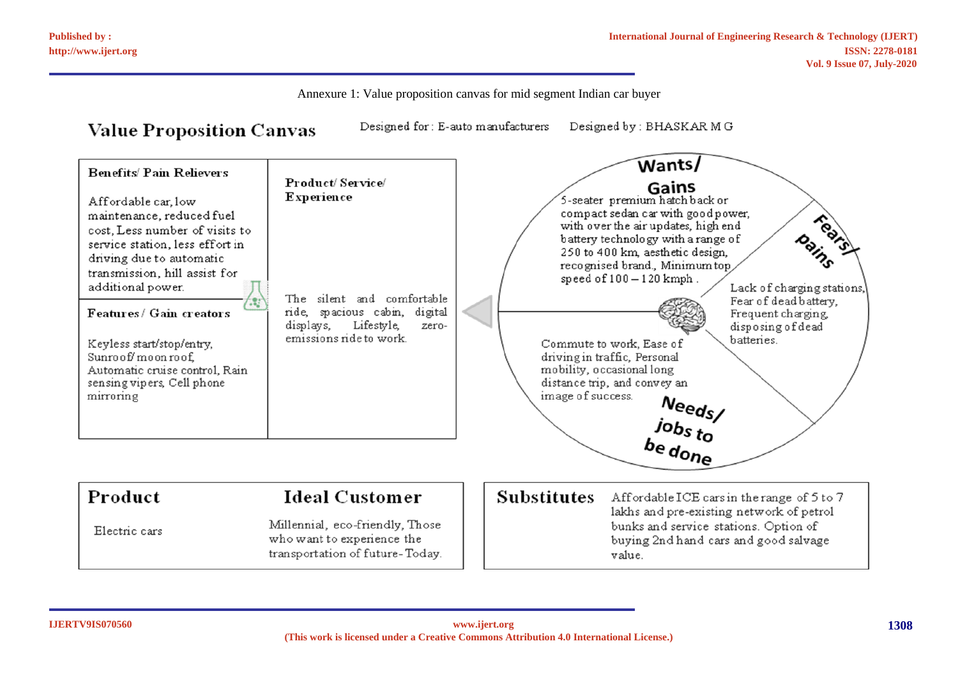